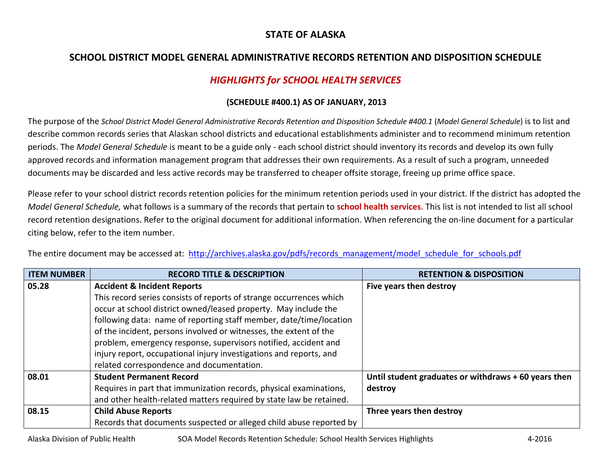## **STATE OF ALASKA**

## **SCHOOL DISTRICT MODEL GENERAL ADMINISTRATIVE RECORDS RETENTION AND DISPOSITION SCHEDULE**

## *HIGHLIGHTS for SCHOOL HEALTH SERVICES*

## **(SCHEDULE #400.1) AS OF JANUARY, 2013**

The purpose of the *School District Model General Administrative Records Retention and Disposition Schedule #400.1* (*Model General Schedule*) is to list and describe common records series that Alaskan school districts and educational establishments administer and to recommend minimum retention periods. The *Model General Schedule* is meant to be a guide only - each school district should inventory its records and develop its own fully approved records and information management program that addresses their own requirements. As a result of such a program, unneeded documents may be discarded and less active records may be transferred to cheaper offsite storage, freeing up prime office space.

Please refer to your school district records retention policies for the minimum retention periods used in your district. If the district has adopted the *Model General Schedule,* what follows is a summary of the records that pertain to **school health services**. This list is not intended to list all school record retention designations. Refer to the original document for additional information. When referencing the on-line document for a particular citing below, refer to the item number.

The entire document may be accessed at: [http://archives.alaska.gov/pdfs/records\\_management/model\\_schedule\\_for\\_schools.pdf](http://archives.alaska.gov/pdfs/records_management/model_schedule_for_schools.pdf)

| <b>ITEM NUMBER</b> | <b>RECORD TITLE &amp; DESCRIPTION</b>                               | <b>RETENTION &amp; DISPOSITION</b>                   |
|--------------------|---------------------------------------------------------------------|------------------------------------------------------|
| 05.28              | <b>Accident &amp; Incident Reports</b>                              | Five years then destroy                              |
|                    | This record series consists of reports of strange occurrences which |                                                      |
|                    | occur at school district owned/leased property. May include the     |                                                      |
|                    | following data: name of reporting staff member, date/time/location  |                                                      |
|                    | of the incident, persons involved or witnesses, the extent of the   |                                                      |
|                    | problem, emergency response, supervisors notified, accident and     |                                                      |
|                    | injury report, occupational injury investigations and reports, and  |                                                      |
|                    | related correspondence and documentation.                           |                                                      |
| 08.01              | <b>Student Permanent Record</b>                                     | Until student graduates or withdraws + 60 years then |
|                    | Requires in part that immunization records, physical examinations,  | destroy                                              |
|                    | and other health-related matters required by state law be retained. |                                                      |
| 08.15              | <b>Child Abuse Reports</b>                                          | Three years then destroy                             |
|                    | Records that documents suspected or alleged child abuse reported by |                                                      |